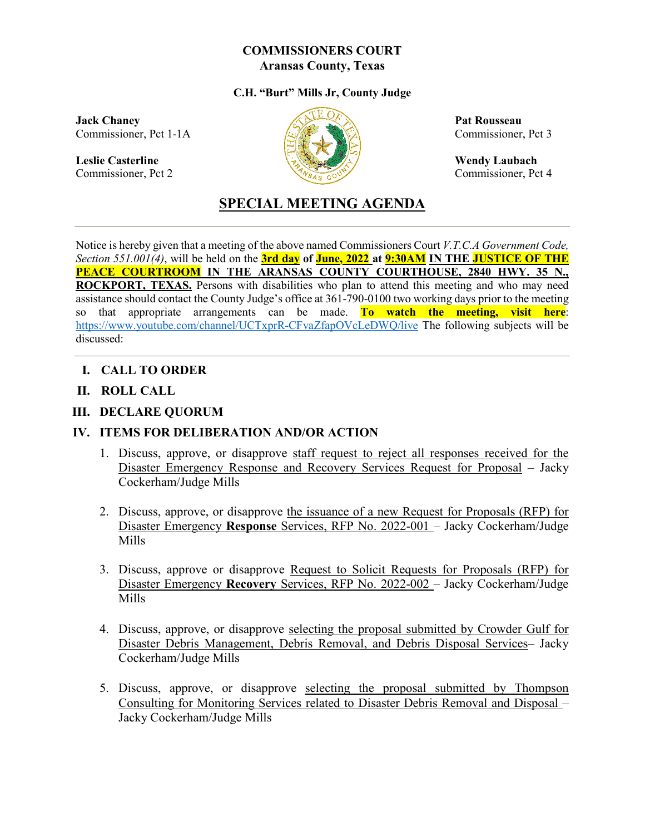#### **COMMISSIONERS COURT Aransas County, Texas**

#### **C.H. "Burt" Mills Jr, County Judge**

**Jack Chaney Pat Rousseau** Commissioner, Pct 1-1A  $\sqrt{\frac{1}{2}}$  Commissioner, Pct 3

Leslie Casterline Wendy Laubach<br>
Commissioner, Pct 2 Commissioner, Pct 2 Commissioner, Pct 2 Commissioner, Pct 2 Commissioner, Pct 2 Commissioner, Pct 2 Commissioner, Pct 2 Commissioner, Pct 2 Commissioner, Pct 2 Commissio



Commissioner, Pct 4

# **SPECIAL MEETING AGENDA**

Notice is hereby given that a meeting of the above named Commissioners Court *V.T.C.A Government Code, Section 551.001(4)*, will be held on the **3rd day of June, 2022 at 9:30AM IN THE JUSTICE OF THE PEACE COURTROOM IN THE ARANSAS COUNTY COURTHOUSE, 2840 HWY. 35 N., ROCKPORT, TEXAS.** Persons with disabilities who plan to attend this meeting and who may need assistance should contact the County Judge's office at 361-790-0100 two working days prior to the meeting so that appropriate arrangements can be made. **To watch the meeting, visit here**: <https://www.youtube.com/channel/UCTxprR-CFvaZfapOVcLeDWQ/live> The following subjects will be discussed:

- **I. CALL TO ORDER**
- **II. ROLL CALL**
- **III. DECLARE QUORUM**

#### **IV. ITEMS FOR DELIBERATION AND/OR ACTION**

- 1. Discuss, approve, or disapprove staff request to reject all responses received for the Disaster Emergency Response and Recovery Services Request for Proposal – Jacky Cockerham/Judge Mills
- 2. Discuss, approve, or disapprove the issuance of a new Request for Proposals (RFP) for Disaster Emergency **Response** Services, RFP No. 2022-001 – Jacky Cockerham/Judge Mills
- 3. Discuss, approve or disapprove Request to Solicit Requests for Proposals (RFP) for Disaster Emergency **Recovery** Services, RFP No. 2022-002 – Jacky Cockerham/Judge Mills
- 4. Discuss, approve, or disapprove selecting the proposal submitted by Crowder Gulf for Disaster Debris Management, Debris Removal, and Debris Disposal Services– Jacky Cockerham/Judge Mills
- 5. Discuss, approve, or disapprove selecting the proposal submitted by Thompson Consulting for Monitoring Services related to Disaster Debris Removal and Disposal – Jacky Cockerham/Judge Mills